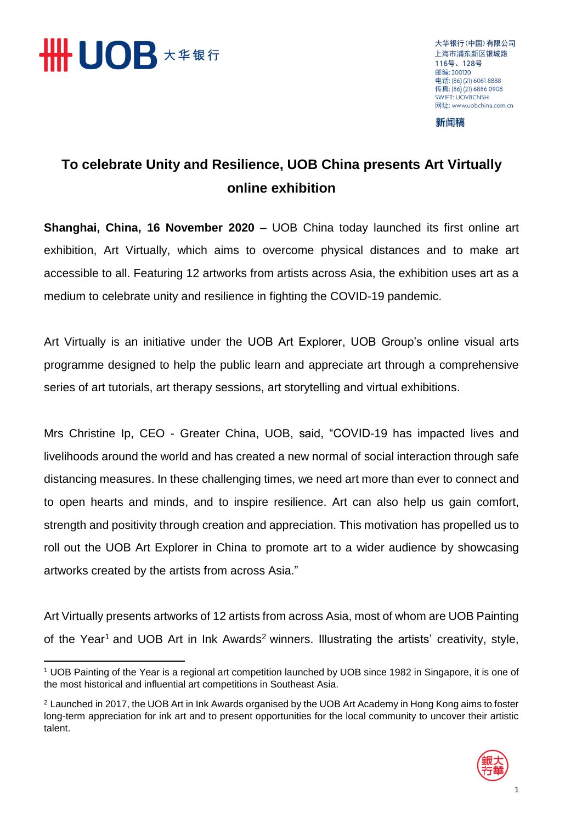

大华银行(中国)有限公司 上海市浦东新区银城路 116号、128号 邮编: 200120 电话: (86) (21) 6061 8888 传真: (86) (21) 6886 0908 **SWIFT: LIOVRCNSH** 网址: www.uobchina.com.cn

新闻稿

## **To celebrate Unity and Resilience, UOB China presents Art Virtually online exhibition**

**Shanghai, China, 16 November 2020** – UOB China today launched its first online art exhibition, Art Virtually, which aims to overcome physical distances and to make art accessible to all. Featuring 12 artworks from artists across Asia, the exhibition uses art as a medium to celebrate unity and resilience in fighting the COVID-19 pandemic.

Art Virtually is an initiative under the UOB Art Explorer, UOB Group's online visual arts programme designed to help the public learn and appreciate art through a comprehensive series of art tutorials, art therapy sessions, art storytelling and virtual exhibitions.

Mrs Christine Ip, CEO - Greater China, UOB, said, "COVID-19 has impacted lives and livelihoods around the world and has created a new normal of social interaction through safe distancing measures. In these challenging times, we need art more than ever to connect and to open hearts and minds, and to inspire resilience. Art can also help us gain comfort, strength and positivity through creation and appreciation. This motivation has propelled us to roll out the UOB Art Explorer in China to promote art to a wider audience by showcasing artworks created by the artists from across Asia."

Art Virtually presents artworks of 12 artists from across Asia, most of whom are UOB Painting of the Year<sup>1</sup> and UOB Art in Ink Awards<sup>2</sup> winners. Illustrating the artists' creativity, style,

<sup>2</sup> Launched in 2017, the UOB Art in Ink Awards organised by the UOB Art Academy in Hong Kong aims to foster long-term appreciation for ink art and to present opportunities for the local community to uncover their artistic talent.



<sup>1</sup> <sup>1</sup> UOB Painting of the Year is a regional art competition launched by UOB since 1982 in Singapore, it is one of the most historical and influential art competitions in Southeast Asia.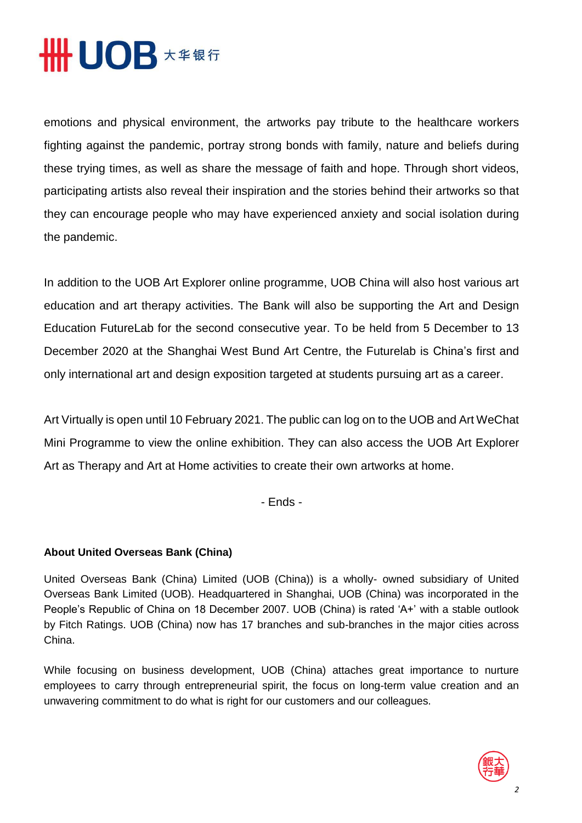## **HHUOB \*\*\*\***

emotions and physical environment, the artworks pay tribute to the healthcare workers fighting against the pandemic, portray strong bonds with family, nature and beliefs during these trying times, as well as share the message of faith and hope. Through short videos, participating artists also reveal their inspiration and the stories behind their artworks so that they can encourage people who may have experienced anxiety and social isolation during the pandemic.

In addition to the UOB Art Explorer online programme, UOB China will also host various art education and art therapy activities. The Bank will also be supporting the Art and Design Education FutureLab for the second consecutive year. To be held from 5 December to 13 December 2020 at the Shanghai West Bund Art Centre, the Futurelab is China's first and only international art and design exposition targeted at students pursuing art as a career.

Art Virtually is open until 10 February 2021. The public can log on to the UOB and Art WeChat Mini Programme to view the online exhibition. They can also access the UOB Art Explorer Art as Therapy and Art at Home activities to create their own artworks at home.

- Ends -

## **About United Overseas Bank (China)**

United Overseas Bank (China) Limited (UOB (China)) is a wholly- owned subsidiary of United Overseas Bank Limited (UOB). Headquartered in Shanghai, UOB (China) was incorporated in the People's Republic of China on 18 December 2007. UOB (China) is rated 'A+' with a stable outlook by Fitch Ratings. UOB (China) now has 17 branches and sub-branches in the major cities across China.

While focusing on business development, UOB (China) attaches great importance to nurture employees to carry through entrepreneurial spirit, the focus on long-term value creation and an unwavering commitment to do what is right for our customers and our colleagues.